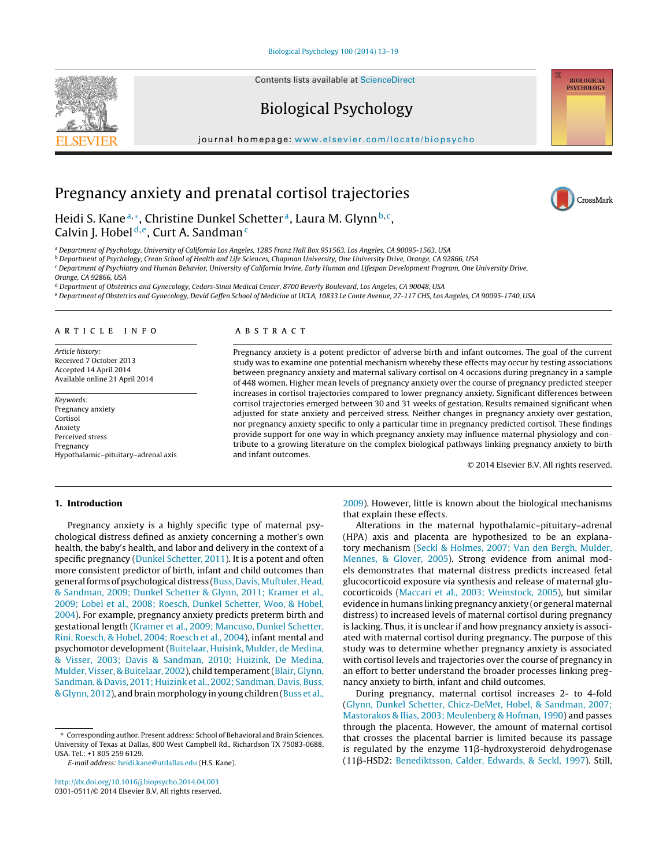Contents lists available at [ScienceDirect](http://www.sciencedirect.com/science/journal/03010511)





iournal homepage: [www.elsevier.com/locate/biopsycho](http://www.elsevier.com/locate/biopsycho)



# Pregnancy anxiety and prenatal cortisol trajectories



# Heidi S. Kane<sup>a,∗</sup>, Christine Dunkel Schetter<sup>a</sup>, Laura M. Glynn<sup>b,c</sup>, Calvin J. Hobel<sup>d,e</sup>, Curt A. Sandman<sup>c</sup>

<sup>a</sup> Department of Psychology, University of California Los Angeles, 1285 Franz Hall Box 951563, Los Angeles, CA 90095-1563, USA

**b Department of Psychology, Crean School of Health and Life Sciences, Chapman University, One University Drive, Orange, CA 92866, USA** 

<sup>c</sup> Department of Psychiatry and Human Behavior, University of California Irvine, Early Human and Lifespan Development Program, One University Drive,

Orange, CA 92866, USA

<sup>d</sup> Department of Obstetrics and Gynecology, Cedars-Sinai Medical Center, 8700 Beverly Boulevard, Los Angeles, CA 90048, USA

e Department of Obstetrics and Gynecology, David Geffen School of Medicine at UCLA, 10833 Le Conte Avenue, 27-117 CHS, Los Angeles, CA 90095-1740, USA

# A R T I C L E I N F O

Article history: Received 7 October 2013 Accepted 14 April 2014 Available online 21 April 2014

Keywords: Pregnancy anxiety Cortisol Anxiety Perceived stress Pregnancy Hypothalamic–pituitary–adrenal axis

# a b s t r a c t

Pregnancy anxiety is a potent predictor of adverse birth and infant outcomes. The goal of the current study was to examine one potential mechanism whereby these effects may occur by testing associations between pregnancy anxiety and maternal salivary cortisol on 4 occasions during pregnancy in a sample of 448 women. Higher mean levels of pregnancy anxiety over the course of pregnancy predicted steeper increases in cortisol trajectories compared to lower pregnancy anxiety. Significant differences between cortisol trajectories emerged between 30 and 31 weeks of gestation. Results remained significant when adjusted for state anxiety and perceived stress. Neither changes in pregnancy anxiety over gestation, nor pregnancy anxiety specific to only a particular time in pregnancy predicted cortisol. These findings provide support for one way in which pregnancy anxiety may influence maternal physiology and contribute to a growing literature on the complex biological pathways linking pregnancy anxiety to birth and infant outcomes.

© 2014 Elsevier B.V. All rights reserved.

# **1. Introduction**

Pregnancy anxiety is a highly specific type of maternal psychological distress defined as anxiety concerning a mother's own health, the baby's health, and labor and delivery in the context of a specific pregnancy [\(Dunkel](#page-6-0) [Schetter,](#page-6-0) [2011\).](#page-6-0) It is a potent and often more consistent predictor of birth, infant and child outcomes than general forms of psychological distress [\(Buss,](#page-6-0) Davis, Muftuler, Head, [&](#page-6-0) [Sandman,](#page-6-0) [2009;](#page-6-0) [Dunkel](#page-6-0) [Schetter](#page-6-0) [&](#page-6-0) [Glynn,](#page-6-0) [2011;](#page-6-0) [Kramer](#page-6-0) et [al.,](#page-6-0) [2009;](#page-6-0) [Lobel](#page-6-0) et [al.,](#page-6-0) [2008;](#page-6-0) [Roesch,](#page-6-0) [Dunkel](#page-6-0) [Schetter,](#page-6-0) [Woo,](#page-6-0) [&](#page-6-0) [Hobel,](#page-6-0) [2004\).](#page-6-0) For example, pregnancy anxiety predicts preterm birth and gestational length [\(Kramer](#page-6-0) et [al.,](#page-6-0) [2009;](#page-6-0) [Mancuso,](#page-6-0) [Dunkel](#page-6-0) [Schetter,](#page-6-0) [Rini,](#page-6-0) [Roesch,](#page-6-0) [&](#page-6-0) [Hobel,](#page-6-0) [2004;](#page-6-0) [Roesch](#page-6-0) et [al.,](#page-6-0) [2004\),](#page-6-0) infant mental and psychomotor development [\(Buitelaar,](#page-6-0) [Huisink,](#page-6-0) [Mulder,](#page-6-0) [de](#page-6-0) [Medina,](#page-6-0) [&](#page-6-0) [Visser,](#page-6-0) [2003;](#page-6-0) [Davis](#page-6-0) [&](#page-6-0) [Sandman,](#page-6-0) [2010;](#page-6-0) [Huizink,](#page-6-0) [De](#page-6-0) [Medina,](#page-6-0) [Mulder,](#page-6-0) [Visser,](#page-6-0) [&](#page-6-0) [Buitelaar,](#page-6-0) [2002\),](#page-6-0) child temperament[\(Blair,](#page-6-0) [Glynn,](#page-6-0) [Sandman,](#page-6-0) [&](#page-6-0) [Davis,](#page-6-0) [2011;](#page-6-0) [Huizink](#page-6-0) et [al.,](#page-6-0) [2002;](#page-6-0) [Sandman,](#page-6-0) [Davis,](#page-6-0) [Buss,](#page-6-0) [&](#page-6-0) [Glynn,](#page-6-0) [2012\),](#page-6-0) and brain morphology in young children [\(Buss](#page-6-0) et [al.,](#page-6-0)

[http://dx.doi.org/10.1016/j.biopsycho.2014.04.003](dx.doi.org/10.1016/j.biopsycho.2014.04.003) 0301-0511/© 2014 Elsevier B.V. All rights reserved.

[2009\).](#page-6-0) However, little is known about the biological mechanisms that explain these effects.

Alterations in the maternal hypothalamic–pituitary–adrenal (HPA) axis and placenta are hypothesized to be an explanatory mechanism [\(Seckl](#page-6-0) [&](#page-6-0) [Holmes,](#page-6-0) [2007;](#page-6-0) [Van](#page-6-0) [den](#page-6-0) [Bergh,](#page-6-0) [Mulder,](#page-6-0) [Mennes,](#page-6-0) [&](#page-6-0) [Glover,](#page-6-0) [2005\).](#page-6-0) Strong evidence from animal models demonstrates that maternal distress predicts increased fetal glucocorticoid exposure via synthesis and release of maternal glucocorticoids ([Maccari](#page-6-0) et [al.,](#page-6-0) [2003;](#page-6-0) [Weinstock,](#page-6-0) [2005\),](#page-6-0) but similar evidence in humans linking pregnancy anxiety (or general maternal distress) to increased levels of maternal cortisol during pregnancy is lacking. Thus, it is unclear if and how pregnancy anxiety is associated with maternal cortisol during pregnancy. The purpose of this study was to determine whether pregnancy anxiety is associated with cortisol levels and trajectories over the course of pregnancy in an effort to better understand the broader processes linking pregnancy anxiety to birth, infant and child outcomes.

During pregnancy, maternal cortisol increases 2- to 4-fold [\(Glynn,](#page-6-0) [Dunkel](#page-6-0) [Schetter,](#page-6-0) [Chicz-DeMet,](#page-6-0) [Hobel,](#page-6-0) [&](#page-6-0) [Sandman,](#page-6-0) [2007;](#page-6-0) [Mastorakos](#page-6-0) [&](#page-6-0) [Ilias,](#page-6-0) [2003;](#page-6-0) [Meulenberg](#page-6-0) [&](#page-6-0) [Hofman,](#page-6-0) [1990\)](#page-6-0) and passes through the placenta. However, the amount of maternal cortisol that crosses the placental barrier is limited because its passage is regulated by the enzyme  $11\beta$ -hydroxysteroid dehydrogenase (11β-HSD2: [Benediktsson,](#page-6-0) [Calder,](#page-6-0) [Edwards,](#page-6-0) [&](#page-6-0) [Seckl,](#page-6-0) [1997\).](#page-6-0) Still,

<sup>∗</sup> Corresponding author. Present address: School of Behavioral and Brain Sciences, University of Texas at Dallas, 800 West Campbell Rd., Richardson TX 75083-0688, USA. Tel.: +1 805 259 6129.

E-mail address: [heidi.kane@utdallas.edu](mailto:heidi.kane@utdallas.edu) (H.S. Kane).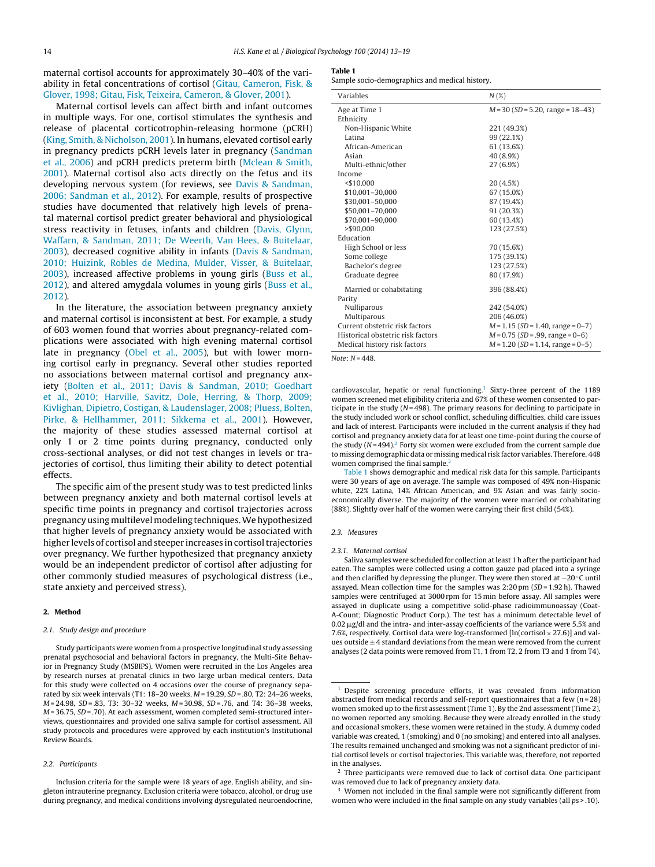<span id="page-1-0"></span>maternal cortisol accounts for approximately 30–40% of the variability in fetal concentrations of cortisol [\(Gitau,](#page-6-0) [Cameron,](#page-6-0) [Fisk,](#page-6-0) [&](#page-6-0) [Glover,](#page-6-0) [1998;](#page-6-0) [Gitau,](#page-6-0) [Fisk,](#page-6-0) [Teixeira,](#page-6-0) [Cameron,](#page-6-0) [&](#page-6-0) [Glover,](#page-6-0) [2001\).](#page-6-0)

Maternal cortisol levels can affect birth and infant outcomes in multiple ways. For one, cortisol stimulates the synthesis and release of placental corticotrophin-releasing hormone (pCRH) ([King,](#page-6-0) [Smith,](#page-6-0) [&](#page-6-0) [Nicholson,](#page-6-0) [2001\).](#page-6-0) In humans, elevated cortisol early in pregnancy predicts pCRH levels later in pregnancy ([Sandman](#page-6-0) et [al.,](#page-6-0) [2006\)](#page-6-0) and pCRH predicts preterm birth ([Mclean](#page-6-0) [&](#page-6-0) [Smith,](#page-6-0) [2001\).](#page-6-0) Maternal cortisol also acts directly on the fetus and its developing nervous system (for reviews, see [Davis](#page-6-0) [&](#page-6-0) [Sandman,](#page-6-0) [2006;](#page-6-0) [Sandman](#page-6-0) et [al.,](#page-6-0) [2012\).](#page-6-0) For example, results of prospective studies have documented that relatively high levels of prenatal maternal cortisol predict greater behavioral and physiological stress reactivity in fetuses, infants and children ([Davis,](#page-6-0) [Glynn,](#page-6-0) [Waffarn,](#page-6-0) [&](#page-6-0) [Sandman,](#page-6-0) [2011;](#page-6-0) [De](#page-6-0) [Weerth,](#page-6-0) [Van](#page-6-0) [Hees,](#page-6-0) [&](#page-6-0) [Buitelaar,](#page-6-0) [2003\),](#page-6-0) decreased cognitive ability in infants [\(Davis](#page-6-0) [&](#page-6-0) [Sandman,](#page-6-0) [2010;](#page-6-0) [Huizink,](#page-6-0) [Robles](#page-6-0) [de](#page-6-0) [Medina,](#page-6-0) [Mulder,](#page-6-0) [Visser,](#page-6-0) [&](#page-6-0) [Buitelaar,](#page-6-0) [2003\),](#page-6-0) increased affective problems in young girls [\(Buss](#page-6-0) et [al.,](#page-6-0) [2012\),](#page-6-0) and altered amygdala volumes in young girls ([Buss](#page-6-0) et [al.,](#page-6-0) [2012\).](#page-6-0)

In the literature, the association between pregnancy anxiety and maternal cortisol is inconsistent at best. For example, a study of 603 women found that worries about pregnancy-related complications were associated with high evening maternal cortisol late in pregnancy ([Obel](#page-6-0) et [al.,](#page-6-0) [2005\),](#page-6-0) but with lower morning cortisol early in pregnancy. Several other studies reported no associations between maternal cortisol and pregnancy anxiety ([Bolten](#page-6-0) et [al.,](#page-6-0) [2011;](#page-6-0) [Davis](#page-6-0) [&](#page-6-0) [Sandman,](#page-6-0) [2010;](#page-6-0) [Goedhart](#page-6-0) et [al.,](#page-6-0) [2010;](#page-6-0) [Harville,](#page-6-0) [Savitz,](#page-6-0) [Dole,](#page-6-0) [Herring,](#page-6-0) [&](#page-6-0) [Thorp,](#page-6-0) [2009;](#page-6-0) [Kivlighan,](#page-6-0) [Dipietro,](#page-6-0) [Costigan,](#page-6-0) [&](#page-6-0) [Laudenslager,](#page-6-0) [2008;](#page-6-0) [Pluess,](#page-6-0) [Bolten,](#page-6-0) [Pirke,](#page-6-0) [&](#page-6-0) [Hellhammer,](#page-6-0) [2011;](#page-6-0) [Sikkema](#page-6-0) et [al.,](#page-6-0) [2001\).](#page-6-0) However, the majority of these studies assessed maternal cortisol at only 1 or 2 time points during pregnancy, conducted only cross-sectional analyses, or did not test changes in levels or trajectories of cortisol, thus limiting their ability to detect potential effects.

The specific aim of the present study was to test predicted links between pregnancy anxiety and both maternal cortisol levels at specific time points in pregnancy and cortisol trajectories across pregnancy using multilevel modeling techniques. We hypothesized that higher levels of pregnancy anxiety would be associated with higher levels of cortisol and steeper increases in cortisol trajectories over pregnancy. We further hypothesized that pregnancy anxiety would be an independent predictor of cortisol after adjusting for other commonly studied measures of psychological distress (i.e., state anxiety and perceived stress).

#### **2. Method**

#### 2.1. Study design and procedure

Study participants were women from a prospective longitudinal study assessing prenatal psychosocial and behavioral factors in pregnancy, the Multi-Site Behavior in Pregnancy Study (MSBIPS). Women were recruited in the Los Angeles area by research nurses at prenatal clinics in two large urban medical centers. Data for this study were collected on 4 occasions over the course of pregnancy separated by six week intervals (T1: 18-20 weeks,  $M = 19.29$ ,  $SD = .80$ , T2: 24-26 weeks,  $M = 24.98$ ,  $SD = .83$ , T3: 30-32 weeks,  $M = 30.98$ ,  $SD = .76$ , and T4: 36-38 weeks, M = 36.75, SD = .70). At each assessment, women completed semi-structured interviews, questionnaires and provided one saliva sample for cortisol assessment. All study protocols and procedures were approved by each institution's Institutional Review Boards.

#### 2.2. Participants

Inclusion criteria for the sample were 18 years of age, English ability, and singleton intrauterine pregnancy. Exclusion criteria were tobacco, alcohol, or drug use during pregnancy, and medical conditions involving dysregulated neuroendocrine,

**Table 1**

Sample socio-demographics and medical history.

| Variables                         | $N(\mathcal{X})$                    |
|-----------------------------------|-------------------------------------|
| Age at Time 1                     | $M = 30$ (SD = 5.20, range = 18-43) |
| Ethnicity                         |                                     |
| Non-Hispanic White                | 221 (49.3%)                         |
| Latina                            | 99 (22.1%)                          |
| African-American                  | 61 (13.6%)                          |
| Asian                             | 40 (8.9%)                           |
| Multi-ethnic/other                | 27 (6.9%)                           |
| Income                            |                                     |
| $<$ \$10,000                      | 20 (4.5%)                           |
| \$10,001-30,000                   | 67 (15.0%)                          |
| \$30,001-50,000                   | 87 (19.4%)                          |
| \$50,001-70,000                   | 91 (20.3%)                          |
| \$70,001-90,000                   | 60 (13.4%)                          |
| $>$ \$90.000                      | 123 (27.5%)                         |
| Education                         |                                     |
| High School or less               | 70 (15.6%)                          |
| Some college                      | 175 (39.1%)                         |
| Bachelor's degree                 | 123 (27.5%)                         |
| Graduate degree                   | 80 (17.9%)                          |
| Married or cohabitating           | 396 (88.4%)                         |
| Parity                            |                                     |
| <b>Nulliparous</b>                | 242 (54.0%)                         |
| Multiparous                       | 206 (46.0%)                         |
| Current obstetric risk factors    | $M = 1.15$ (SD = 1.40, range = 0-7) |
| Historical obstetric risk factors | $M = 0.75$ (SD = .99, range = 0-6)  |
| Medical history risk factors      | $M = 1.20$ (SD = 1.14, range = 0-5) |

 $Note: N = 448.$ 

cardiovascular, hepatic or renal functioning.<sup>1</sup> Sixty-three percent of the 1189 women screened met eligibility criteria and 67% of these women consented to participate in the study ( $N = 498$ ). The primary reasons for declining to participate in the study included work or school conflict, scheduling difficulties, child care issues and lack of interest. Participants were included in the current analysis if they had cortisol and pregnancy anxiety data for at least one time-point during the course of the study  $(N = 494)^2$ . Forty six women were excluded from the current sample due to missing demographic data or missing medical risk factor variables. Therefore, 448 women comprised the final sample.<sup>3</sup>

Table 1 shows demographic and medical risk data for this sample. Participants were 30 years of age on average. The sample was composed of 49% non-Hispanic white, 22% Latina, 14% African American, and 9% Asian and was fairly socioeconomically diverse. The majority of the women were married or cohabitating (88%). Slightly over half of the women were carrying their first child (54%).

#### 2.3. Measures

#### 2.3.1. Maternal cortisol

Saliva samples were scheduled for collection at least 1 h after the participant had eaten. The samples were collected using a cotton gauze pad placed into a syringe and then clarified by depressing the plunger. They were then stored at −20 ◦C until assayed. Mean collection time for the samples was  $2:20 \text{ pm } (SD = 1.92 \text{ h})$ . Thawed samples were centrifuged at 3000 rpm for 15 min before assay. All samples were assayed in duplicate using a competitive solid-phase radioimmunoassay (Coat-A-Count; Diagnostic Product Corp.). The test has a minimum detectable level of  $0.02 \mu$ g/dl and the intra- and inter-assay coefficients of the variance were 5.5% and 7.6%, respectively. Cortisol data were log-transformed  $[ln(cortisol \times 27.6)]$  and values outside  $\pm$  4 standard deviations from the mean were removed from the current analyses (2 data points were removed from T1, 1 from T2, 2 from T3 and 1 from T4).

<sup>&</sup>lt;sup>1</sup> Despite screening procedure efforts, it was revealed from information abstracted from medical records and self-report questionnaires that a few  $(n=28)$ women smoked up to the first assessment (Time 1). By the 2nd assessment (Time 2), no women reported any smoking. Because they were already enrolled in the study and occasional smokers, these women were retained in the study. A dummy coded variable was created, 1 (smoking) and 0 (no smoking) and entered into all analyses. The results remained unchanged and smoking was not a significant predictor of initial cortisol levels or cortisol trajectories. This variable was, therefore, not reported in the analyses.

 $2$  Three participants were removed due to lack of cortisol data. One participant was removed due to lack of pregnancy anxiety data.

<sup>3</sup> Women not included in the final sample were not significantly different from women who were included in the final sample on any study variables (all ps > .10).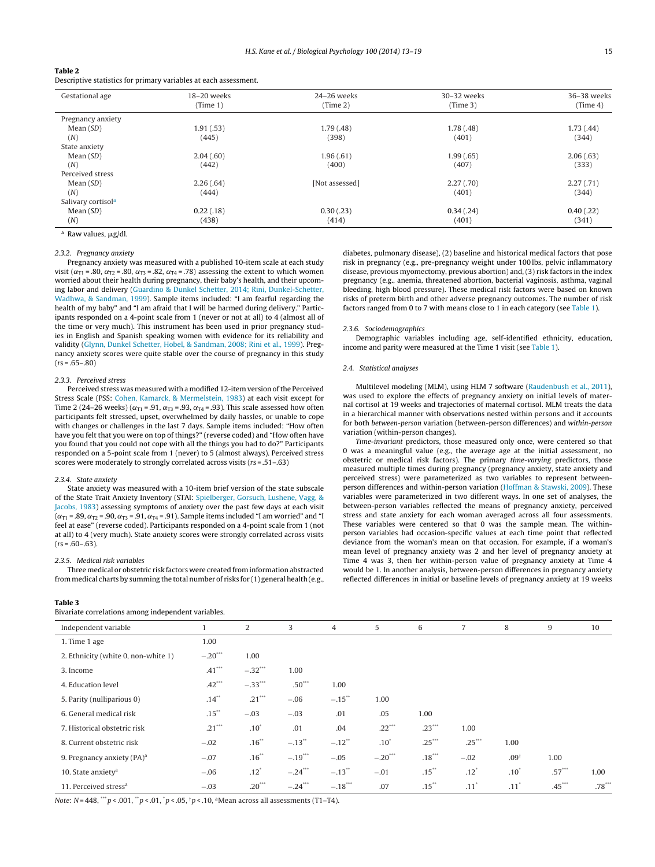# <span id="page-2-0"></span>**Table 2**

Descriptive statistics for primary variables at each assessment.

| Gestational age                      | 18-20 weeks | 24-26 weeks    | 30-32 weeks | 36-38 weeks |
|--------------------------------------|-------------|----------------|-------------|-------------|
|                                      | (Time 1)    | (Time 2)       | (Time 3)    | (Time 4)    |
| Pregnancy anxiety                    |             |                |             |             |
| Mean $(SD)$                          | 1.91(.53)   | 1.79(.48)      | 1.78(.48)   |             |
| (N)                                  | (445)       | (398)          | (401)       |             |
| State anxiety                        |             |                |             |             |
| Mean $(SD)$                          | 2.04(.60)   | 1.96(.61)      | 1.99(.65)   | 2.06(0.63)  |
| (N)                                  | (442)       | (400)          | (407)       | (333)       |
| Perceived stress                     |             |                |             |             |
| Mean $(SD)$                          | 2.26(.64)   | [Not assessed] | 2.27(.70)   | 2.27(0.71)  |
| (N)                                  | (444)       |                | (401)       | (344)       |
| Salivary cortisol <sup>a</sup>       |             |                |             |             |
| Mean $(SD)$                          | 0.22(0.18)  | 0.30(0.23)     | 0.34(0.24)  | 0.40(0.22)  |
| (N)                                  | (438)       | (414)          | (401)       | (341)       |
| <sup>a</sup> Raw values, $\mu$ g/dl. |             |                |             |             |

# 2.3.2. Pregnancy anxiety

Pregnancy anxiety was measured with a published 10-item scale at each study visit ( $\alpha_{T1}$  = .80,  $\alpha_{T2}$  = .80,  $\alpha_{T3}$  = .82,  $\alpha_{T4}$  = .78) assessing the extent to which women worried about their health during pregnancy, their baby's health, and their upcoming labor and delivery ([Guardino](#page-6-0) [&](#page-6-0) [Dunkel](#page-6-0) [Schetter,](#page-6-0) [2014;](#page-6-0) [Rini,](#page-6-0) [Dunkel-Schetter,](#page-6-0) [Wadhwa,](#page-6-0) [&](#page-6-0) [Sandman,](#page-6-0) [1999\).](#page-6-0) Sample items included: "I am fearful regarding the health of my baby" and "I am afraid that I will be harmed during delivery." Participants responded on a 4-point scale from 1 (never or not at all) to 4 (almost all of the time or very much). This instrument has been used in prior pregnancy studies in English and Spanish speaking women with evidence for its reliability and validity [\(Glynn,](#page-6-0) [Dunkel](#page-6-0) [Schetter,](#page-6-0) [Hobel,](#page-6-0) [&](#page-6-0) [Sandman,](#page-6-0) [2008;](#page-6-0) [Rini](#page-6-0) et [al.,](#page-6-0) [1999\).](#page-6-0) Pregnancy anxiety scores were quite stable over the course of pregnancy in this study  $(r s = .65 - .80)$ 

#### 2.3.3. Perceived stress

Perceived stress was measured with a modified 12-item version ofthe Perceived Stress Scale (PSS: [Cohen,](#page-6-0) [Kamarck,](#page-6-0) [&](#page-6-0) [Mermelstein,](#page-6-0) [1983\)](#page-6-0) at each visit except for Time 2 (24–26 weeks) ( $\alpha_{T1}$  = .91,  $\alpha_{T3}$  = .93,  $\alpha_{T4}$  = .93). This scale assessed how often participants felt stressed, upset, overwhelmed by daily hassles, or unable to cope with changes or challenges in the last 7 days. Sample items included: "How often have you felt that you were on top of things?" (reverse coded) and "How often have you found that you could not cope with all the things you had to do?" Participants responded on a 5-point scale from 1 (never) to 5 (almost always). Perceived stress scores were moderately to strongly correlated across visits (rs = .51–.63)

#### 2.3.4. State anxiety

State anxiety was measured with a 10-item brief version of the state subscale of the State Trait Anxiety Inventory (STAI: [Spielberger,](#page-6-0) [Gorsuch,](#page-6-0) [Lushene,](#page-6-0) [Vagg,](#page-6-0) [&](#page-6-0) [Jacobs,](#page-6-0) [1983\)](#page-6-0) assessing symptoms of anxiety over the past few days at each visit  $(\alpha_{T1} = .89, \alpha_{T2} = .90, \alpha_{T3} = .91, \alpha_{T4} = .91)$ . Sample items included "I am worried" and "I feel at ease" (reverse coded). Participants responded on a 4-point scale from 1 (not at all) to 4 (very much). State anxiety scores were strongly correlated across visits  $(rs = .60 - .63)$ .

#### 2.3.5. Medical risk variables

Three medical or obstetric risk factors were created from information abstracted from medical charts by summing the total number of risks for (1) general health (e.g.,

#### **Table 3**

Bivariate correlations among independent variables.

diabetes, pulmonary disease), (2) baseline and historical medical factors that pose risk in pregnancy (e.g., pre-pregnancy weight under 100 lbs, pelvic inflammatory disease, previous myomectomy, previous abortion) and, (3) risk factors in the index pregnancy (e.g., anemia, threatened abortion, bacterial vaginosis, asthma, vaginal bleeding, high blood pressure). These medical risk factors were based on known risks of preterm birth and other adverse pregnancy outcomes. The number of risk factors ranged from 0 to 7 with means close to 1 in each category (see [Table](#page-1-0) 1).

#### 2.3.6. Sociodemographics

Demographic variables including age, self-identified ethnicity, education, income and parity were measured at the Time 1 visit (see [Table](#page-1-0) 1).

## 2.4. Statistical analyses

Multilevel modeling (MLM), using HLM 7 software ([Raudenbush](#page-6-0) et [al.,](#page-6-0) [2011\),](#page-6-0) was used to explore the effects of pregnancy anxiety on initial levels of maternal cortisol at 19 weeks and trajectories of maternal cortisol. MLM treats the data in a hierarchical manner with observations nested within persons and it accounts for both between-person variation (between-person differences) and within-person variation (within-person changes).

Time-invariant predictors, those measured only once, were centered so that 0 was a meaningful value (e.g., the average age at the initial assessment, no obstetric or medical risk factors). The primary time-varying predictors, those measured multiple times during pregnancy (pregnancy anxiety, state anxiety and perceived stress) were parameterized as two variables to represent betweenperson differences and within-person variation [\(Hoffman](#page-6-0) [&](#page-6-0) [Stawski,](#page-6-0) [2009\).](#page-6-0) These variables were parameterized in two different ways. In one set of analyses, the between-person variables reflected the means of pregnancy anxiety, perceived stress and state anxiety for each woman averaged across all four assessments. These variables were centered so that 0 was the sample mean. The withinperson variables had occasion-specific values at each time point that reflected deviance from the woman's mean on that occasion. For example, if a woman's mean level of pregnancy anxiety was 2 and her level of pregnancy anxiety at Time 4 was 3, then her within-person value of pregnancy anxiety at Time 4 would be 1. In another analysis, between-person differences in pregnancy anxiety reflected differences in initial or baseline levels of pregnancy anxiety at 19 weeks

| Independent variable                   |           | 2         | 3                    | 4                    | 5         | 6                    | 7                  | 8                | 9        | 10       |
|----------------------------------------|-----------|-----------|----------------------|----------------------|-----------|----------------------|--------------------|------------------|----------|----------|
| 1. Time 1 age                          | 1.00      |           |                      |                      |           |                      |                    |                  |          |          |
| 2. Ethnicity (white 0, non-white 1)    | $-.20***$ | 1.00      |                      |                      |           |                      |                    |                  |          |          |
| 3. Income                              | $.41***$  | $-.32***$ | 1.00                 |                      |           |                      |                    |                  |          |          |
| 4. Education level                     | $.42***$  | $-.33***$ | $.50^{\ast\ast\ast}$ | 1.00                 |           |                      |                    |                  |          |          |
| 5. Parity (nulliparious 0)             | $.14***$  | $.21***$  | $-.06$               | $-.15$ **            | 1.00      |                      |                    |                  |          |          |
| 6. General medical risk                | $.15***$  | $-.03$    | $-.03$               | .01                  | .05       | 1.00                 |                    |                  |          |          |
| 7. Historical obstetric risk           | $.21***$  | $.10*$    | .01                  | .04                  | $.22***$  | $.23***$             | 1.00               |                  |          |          |
| 8. Current obstetric risk              | $-.02$    | $.16***$  | $-.13$ <sup>**</sup> | $-.12$ <sup>**</sup> | $.10*$    | $.25***$             | $.25***$           | 1.00             |          |          |
| 9. Pregnancy anxiety (PA) <sup>a</sup> | $-.07$    | $.16***$  | $-.19***$            | $-.05$               | $-.20***$ | $.18^{\ast\ast\ast}$ | $-.02$             | .09 <sup>†</sup> | 1.00     |          |
| 10. State anxiety <sup>a</sup>         | $-.06$    | $.12*$    | $-.24***$            | $-.13$ <sup>**</sup> | $-.01$    | $.15$ $^\ast\,$      | $.12*$             | $.10*$           | $.57***$ | 1.00     |
| 11. Perceived stress <sup>a</sup>      | $-.03$    | $.20***$  | $-.24***$            | $-.18***$            | .07       | $.15$ $^\ast\,$      | $.11$ <sup>*</sup> | $.11*$           | $.45***$ | $.78***$ |

Note:  $N = 448$ , \*\*\*  $p < .001$ , \*\*  $p < .01$ , \* $p < .05$ , † $p < .10$ , aMean across all assessments (T1–T4).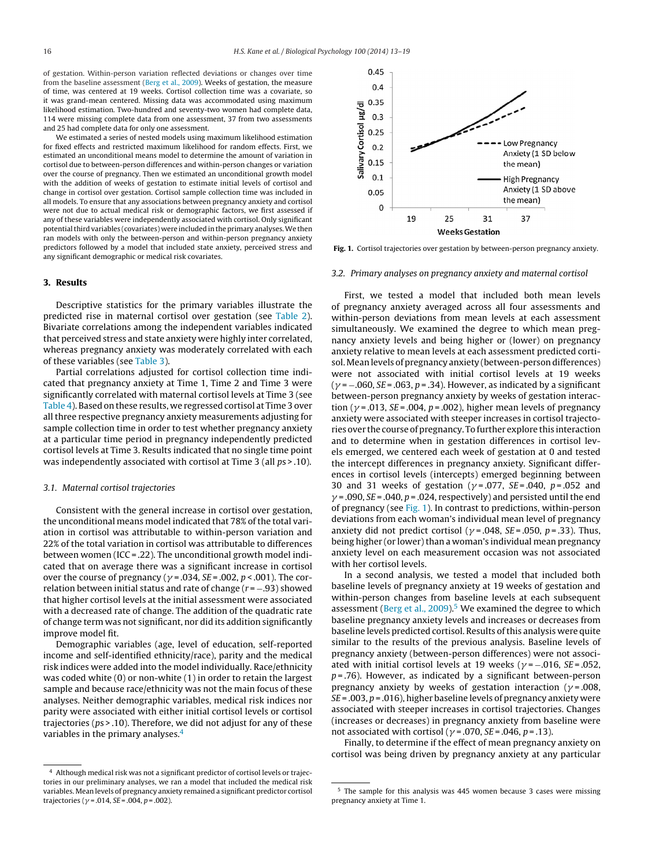of gestation. Within-person variation reflected deviations or changes over time from the baseline assessment [\(Berg](#page-6-0) et [al.,](#page-6-0) [2009\).](#page-6-0) Weeks of gestation, the measure of time, was centered at 19 weeks. Cortisol collection time was a covariate, so it was grand-mean centered. Missing data was accommodated using maximum likelihood estimation. Two-hundred and seventy-two women had complete data, 114 were missing complete data from one assessment, 37 from two assessments and 25 had complete data for only one assessment.

We estimated a series of nested models using maximum likelihood estimation for fixed effects and restricted maximum likelihood for random effects. First, we estimated an unconditional means model to determine the amount of variation in cortisol due to between-person differences and within-person changes or variation over the course of pregnancy. Then we estimated an unconditional growth model with the addition of weeks of gestation to estimate initial levels of cortisol and change in cortisol over gestation. Cortisol sample collection time was included in all models. To ensure that any associations between pregnancy anxiety and cortisol were not due to actual medical risk or demographic factors, we first assessed if any of these variables were independently associated with cortisol. Only significant potential third variables (covariates) were included in the primary analyses. We then ran models with only the between-person and within-person pregnancy anxiety predictors followed by a model that included state anxiety, perceived stress and any significant demographic or medical risk covariates.

#### **3. Results**

Descriptive statistics for the primary variables illustrate the predicted rise in maternal cortisol over gestation (see [Table](#page-2-0) 2). Bivariate correlations among the independent variables indicated that perceived stress and state anxiety were highly inter correlated, whereas pregnancy anxiety was moderately correlated with each of these variables (see [Table](#page-2-0) 3).

Partial correlations adjusted for cortisol collection time indicated that pregnancy anxiety at Time 1, Time 2 and Time 3 were significantly correlated with maternal cortisol levels at Time 3 (see [Table](#page-4-0) 4). Based on these results, we regressed cortisol at Time 3 over all three respective pregnancy anxiety measurements adjusting for sample collection time in order to test whether pregnancy anxiety at a particular time period in pregnancy independently predicted cortisol levels at Time 3. Results indicated that no single time point was independently associated with cortisol at Time 3 (all ps > .10).

# 3.1. Maternal cortisol trajectories

Consistent with the general increase in cortisol over gestation, the unconditional means model indicated that 78% of the total variation in cortisol was attributable to within-person variation and 22% of the total variation in cortisol was attributable to differences between women (ICC = .22). The unconditional growth model indicated that on average there was a significant increase in cortisol over the course of pregnancy (  $\gamma$  = .034, SE = .002,  $p$  < .001 ). The correlation between initial status and rate of change  $(r = -.93)$  showed that higher cortisol levels at the initial assessment were associated with a decreased rate of change. The addition of the quadratic rate of change term was not significant, nor did its addition significantly improve model fit.

Demographic variables (age, level of education, self-reported income and self-identified ethnicity/race), parity and the medical risk indices were added into the model individually. Race/ethnicity was coded white (0) or non-white (1) in order to retain the largest sample and because race/ethnicity was not the main focus of these analyses. Neither demographic variables, medical risk indices nor parity were associated with either initial cortisol levels or cortisol trajectories (ps > .10). Therefore, we did not adjust for any of these variables in the primary analyses.4



**Fig. 1.** Cortisol trajectories over gestation by between-person pregnancy anxiety.

# 3.2. Primary analyses on pregnancy anxiety and maternal cortisol

First, we tested a model that included both mean levels of pregnancy anxiety averaged across all four assessments and within-person deviations from mean levels at each assessment simultaneously. We examined the degree to which mean pregnancy anxiety levels and being higher or (lower) on pregnancy anxiety relative to mean levels at each assessment predicted cortisol. Mean levels of pregnancy anxiety (between-person differences) were not associated with initial cortisol levels at 19 weeks  $(y = -.060, SE = .063, p = .34)$ . However, as indicated by a significant between-person pregnancy anxiety by weeks of gestation interaction ( $\gamma$  = .013, SE = .004, p = .002), higher mean levels of pregnancy anxiety were associated with steeper increases in cortisol trajectories over the course of pregnancy. To further explore this interaction and to determine when in gestation differences in cortisol levels emerged, we centered each week of gestation at 0 and tested the intercept differences in pregnancy anxiety. Significant differences in cortisol levels (intercepts) emerged beginning between 30 and 31 weeks of gestation ( $\gamma$ =.077, SE=.040, p=.052 and  $\gamma$  = .090, SE = .040, p = .024, respectively) and persisted until the end of pregnancy (see Fig. 1). In contrast to predictions, within-person deviations from each woman's individual mean level of pregnancy anxiety did not predict cortisol ( $\gamma$  = .048, SE = .050, p = .33). Thus, being higher (or lower) than a woman's individual mean pregnancy anxiety level on each measurement occasion was not associated with her cortisol levels.

In a second analysis, we tested a model that included both baseline levels of pregnancy anxiety at 19 weeks of gestation and within-person changes from baseline levels at each subsequent assessment [\(Berg](#page-6-0) et [al.,](#page-6-0)  $2009$ ).<sup>5</sup> We examined the degree to which baseline pregnancy anxiety levels and increases or decreases from baseline levels predicted cortisol. Results ofthis analysis were quite similar to the results of the previous analysis. Baseline levels of pregnancy anxiety (between-person differences) were not associated with initial cortisol levels at 19 weeks ( $\gamma$  =  $-$ .016, SE = .052,  $p = .76$ ). However, as indicated by a significant between-person pregnancy anxiety by weeks of gestation interaction ( $\gamma$ =.008,  $SE = .003$ ,  $p = .016$ ), higher baseline levels of pregnancy anxiety were associated with steeper increases in cortisol trajectories. Changes (increases or decreases) in pregnancy anxiety from baseline were not associated with cortisol ( $\gamma$  = .070, SE = .046, p = .13).

Finally, to determine if the effect of mean pregnancy anxiety on cortisol was being driven by pregnancy anxiety at any particular

<sup>4</sup> Although medical risk was not a significant predictor of cortisol levels or trajectories in our preliminary analyses, we ran a model that included the medical risk variables. Mean levels of pregnancy anxiety remained a significant predictor cortisol trajectories ( $\gamma$  = .014, *SE* = .004,  $p$  = .002).

<sup>5</sup> The sample for this analysis was 445 women because 3 cases were missing pregnancy anxiety at Time 1.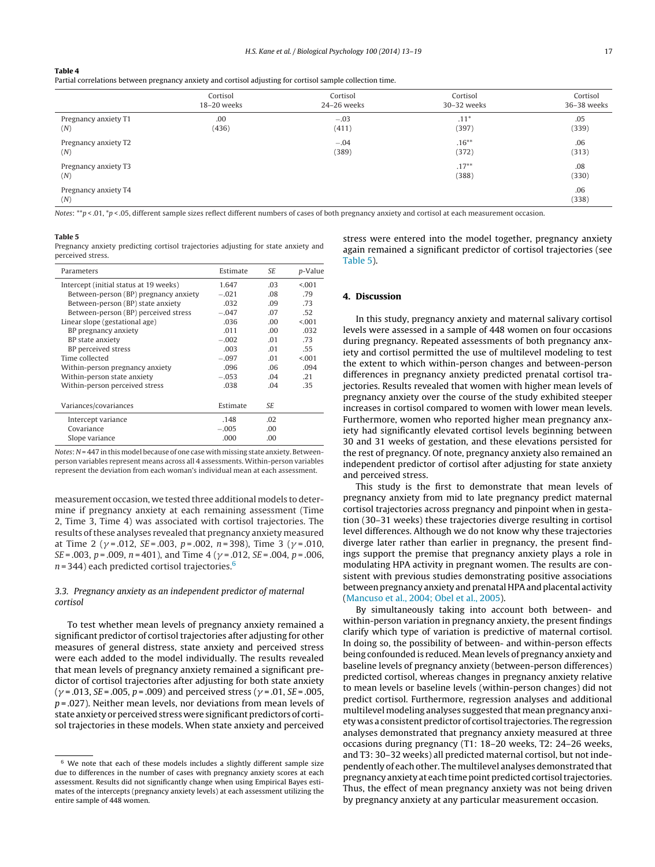#### <span id="page-4-0"></span>**Table 4**

Partial correlations between pregnancy anxiety and cortisol adjusting for cortisol sample collection time.

|                             | Cortisol    | Cortisol    | Cortisol          | Cortisol     |
|-----------------------------|-------------|-------------|-------------------|--------------|
|                             | 18-20 weeks | 24-26 weeks | 30-32 weeks       | 36-38 weeks  |
| Pregnancy anxiety T1        | .00         | $-.03$      | $.11*$            | .05          |
| (N)                         | (436)       | (411)       | (397)             | (339)        |
| Pregnancy anxiety T2        |             | $-.04$      | $.16***$          | .06          |
| (N)                         |             | (389)       | (372)             | (313)        |
| Pregnancy anxiety T3<br>(N) |             |             | $.17***$<br>(388) | .08<br>(330) |
| Pregnancy anxiety T4<br>(N) |             |             |                   | .06<br>(338) |

Notes:  $**p < .01$ ,  $*p < .05$ , different sample sizes reflect different numbers of cases of both pregnancy anxiety and cortisol at each measurement occasion.

#### **Table 5**

Pregnancy anxiety predicting cortisol trajectories adjusting for state anxiety and perceived stress.

| Parameters                             | Estimate | SE   | p-Value |
|----------------------------------------|----------|------|---------|
| Intercept (initial status at 19 weeks) | 1.647    | .03  | < 001   |
| Between-person (BP) pregnancy anxiety  | $-.021$  | .08  | .79     |
| Between-person (BP) state anxiety      | .032     | .09  | .73     |
| Between-person (BP) perceived stress   | $-.047$  | .07  | .52     |
| Linear slope (gestational age)         | .036     | .00. | < 0.01  |
| BP pregnancy anxiety                   | .011     | .00. | .032    |
| BP state anxiety                       | $-.002$  | .01  | .73     |
| BP perceived stress                    | .003     | .01  | .55     |
| Time collected                         | $-.097$  | .01  | < 001   |
| Within-person pregnancy anxiety        | .096     | .06  | .094    |
| Within-person state anxiety            | $-.053$  | .04  | .21     |
| Within-person perceived stress         | .038     | .04  | .35     |
| Variances/covariances                  | Estimate | SE   |         |
| Intercept variance                     | .148     | .02  |         |
| Covariance                             | $-.005$  | .00. |         |
| Slope variance                         | .000     | .00. |         |

 $Notes: N=447$  in this model because of one case with missing state anxiety. Betweenperson variables represent means across all 4 assessments. Within-person variables represent the deviation from each woman's individual mean at each assessment.

measurement occasion, we tested three additional models to determine if pregnancy anxiety at each remaining assessment (Time 2, Time 3, Time 4) was associated with cortisol trajectories. The results ofthese analyses revealed that pregnancy anxiety measured at Time 2 ( $\gamma$ =.012, SE=.003, p=.002, n=398), Time 3 ( $\gamma$ =.010, *SE* = .003, *p* = .009, *n* = 401), and Time 4 ( $\gamma$  = .012, *SE* = .004, *p* = .006,  $n = 344$ ) each predicted cortisol trajectories.<sup>6</sup>

# 3.3. Pregnancy anxiety as an independent predictor of maternal cortisol

To test whether mean levels of pregnancy anxiety remained a significant predictor of cortisol trajectories after adjusting for other measures of general distress, state anxiety and perceived stress were each added to the model individually. The results revealed that mean levels of pregnancy anxiety remained a significant predictor of cortisol trajectories after adjusting for both state anxiety ( $\gamma$  = .013, SE = .005, p = .009) and perceived stress ( $\gamma$  = .01, SE = .005,  $p = 0.027$ ). Neither mean levels, nor deviations from mean levels of state anxiety or perceived stress were significant predictors of cortisol trajectories in these models. When state anxiety and perceived

stress were entered into the model together, pregnancy anxiety again remained a significant predictor of cortisol trajectories (see Table 5).

# **4. Discussion**

In this study, pregnancy anxiety and maternal salivary cortisol levels were assessed in a sample of 448 women on four occasions during pregnancy. Repeated assessments of both pregnancy anxiety and cortisol permitted the use of multilevel modeling to test the extent to which within-person changes and between-person differences in pregnancy anxiety predicted prenatal cortisol trajectories. Results revealed that women with higher mean levels of pregnancy anxiety over the course of the study exhibited steeper increases in cortisol compared to women with lower mean levels. Furthermore, women who reported higher mean pregnancy anxiety had significantly elevated cortisol levels beginning between 30 and 31 weeks of gestation, and these elevations persisted for the rest of pregnancy. Of note, pregnancy anxiety also remained an independent predictor of cortisol after adjusting for state anxiety and perceived stress.

This study is the first to demonstrate that mean levels of pregnancy anxiety from mid to late pregnancy predict maternal cortisol trajectories across pregnancy and pinpoint when in gestation (30–31 weeks) these trajectories diverge resulting in cortisol level differences. Although we do not know why these trajectories diverge later rather than earlier in pregnancy, the present findings support the premise that pregnancy anxiety plays a role in modulating HPA activity in pregnant women. The results are consistent with previous studies demonstrating positive associations between pregnancy anxiety and prenatal HPA and placental activity [\(Mancuso](#page-6-0) et [al.,](#page-6-0) [2004;](#page-6-0) [Obel](#page-6-0) et [al.,](#page-6-0) [2005\).](#page-6-0)

By simultaneously taking into account both between- and within-person variation in pregnancy anxiety, the present findings clarify which type of variation is predictive of maternal cortisol. In doing so, the possibility of between- and within-person effects being confounded is reduced. Mean levels of pregnancy anxiety and baseline levels of pregnancy anxiety (between-person differences) predicted cortisol, whereas changes in pregnancy anxiety relative to mean levels or baseline levels (within-person changes) did not predict cortisol. Furthermore, regression analyses and additional multilevel modeling analyses suggested that mean pregnancy anxiety was a consistent predictor of cortisol trajectories. The regression analyses demonstrated that pregnancy anxiety measured at three occasions during pregnancy (T1: 18–20 weeks, T2: 24–26 weeks, and T3: 30–32 weeks) all predicted maternal cortisol, but not independently of each other. The multilevel analyses demonstrated that pregnancy anxiety at each time point predicted cortisol trajectories. Thus, the effect of mean pregnancy anxiety was not being driven by pregnancy anxiety at any particular measurement occasion.

 $6$  We note that each of these models includes a slightly different sample size due to differences in the number of cases with pregnancy anxiety scores at each assessment. Results did not significantly change when using Empirical Bayes estimates of the intercepts (pregnancy anxiety levels) at each assessment utilizing the entire sample of 448 women.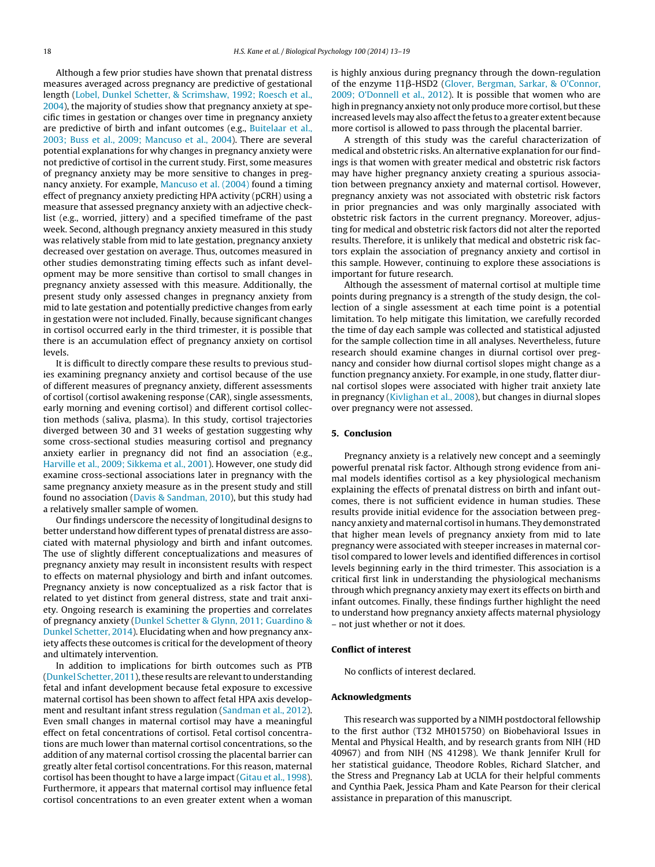Although a few prior studies have shown that prenatal distress measures averaged across pregnancy are predictive of gestational length [\(Lobel,](#page-6-0) [Dunkel](#page-6-0) [Schetter,](#page-6-0) [&](#page-6-0) [Scrimshaw,](#page-6-0) [1992;](#page-6-0) [Roesch](#page-6-0) et [al.,](#page-6-0) [2004\),](#page-6-0) the majority of studies show that pregnancy anxiety at specific times in gestation or changes over time in pregnancy anxiety are predictive of birth and infant outcomes (e.g., [Buitelaar](#page-6-0) et [al.,](#page-6-0) [2003;](#page-6-0) [Buss](#page-6-0) et [al.,](#page-6-0) [2009;](#page-6-0) [Mancuso](#page-6-0) et [al.,](#page-6-0) [2004\).](#page-6-0) There are several potential explanations for why changes in pregnancy anxiety were not predictive of cortisol in the current study. First, some measures of pregnancy anxiety may be more sensitive to changes in pregnancy anxiety. For example, [Mancuso](#page-6-0) et [al.](#page-6-0) [\(2004\)](#page-6-0) found a timing effect of pregnancy anxiety predicting HPA activity (pCRH) using a measure that assessed pregnancy anxiety with an adjective checklist (e.g., worried, jittery) and a specified timeframe of the past week. Second, although pregnancy anxiety measured in this study was relatively stable from mid to late gestation, pregnancy anxiety decreased over gestation on average. Thus, outcomes measured in other studies demonstrating timing effects such as infant development may be more sensitive than cortisol to small changes in pregnancy anxiety assessed with this measure. Additionally, the present study only assessed changes in pregnancy anxiety from mid to late gestation and potentially predictive changes from early in gestation were not included. Finally, because significant changes in cortisol occurred early in the third trimester, it is possible that there is an accumulation effect of pregnancy anxiety on cortisol levels.

It is difficult to directly compare these results to previous studies examining pregnancy anxiety and cortisol because of the use of different measures of pregnancy anxiety, different assessments of cortisol (cortisol awakening response (CAR), single assessments, early morning and evening cortisol) and different cortisol collection methods (saliva, plasma). In this study, cortisol trajectories diverged between 30 and 31 weeks of gestation suggesting why some cross-sectional studies measuring cortisol and pregnancy anxiety earlier in pregnancy did not find an association (e.g., [Harville](#page-6-0) et [al.,](#page-6-0) [2009;](#page-6-0) [Sikkema](#page-6-0) et [al.,](#page-6-0) [2001\).](#page-6-0) However, one study did examine cross-sectional associations later in pregnancy with the same pregnancy anxiety measure as in the present study and still found no association [\(Davis](#page-6-0) [&](#page-6-0) [Sandman,](#page-6-0) [2010\),](#page-6-0) but this study had a relatively smaller sample of women.

Our findings underscore the necessity of longitudinal designs to better understand how different types of prenatal distress are associated with maternal physiology and birth and infant outcomes. The use of slightly different conceptualizations and measures of pregnancy anxiety may result in inconsistent results with respect to effects on maternal physiology and birth and infant outcomes. Pregnancy anxiety is now conceptualized as a risk factor that is related to yet distinct from general distress, state and trait anxiety. Ongoing research is examining the properties and correlates of pregnancy anxiety [\(Dunkel](#page-6-0) [Schetter](#page-6-0) [&](#page-6-0) [Glynn,](#page-6-0) [2011;](#page-6-0) [Guardino](#page-6-0) [&](#page-6-0) [Dunkel](#page-6-0) [Schetter,](#page-6-0) [2014\).](#page-6-0) Elucidating when and how pregnancy anxiety affects these outcomes is critical for the development of theory and ultimately intervention.

In addition to implications for birth outcomes such as PTB ([Dunkel](#page-6-0) [Schetter,](#page-6-0) [2011\),](#page-6-0) these results are relevant to understanding fetal and infant development because fetal exposure to excessive maternal cortisol has been shown to affect fetal HPA axis development and resultant infant stress regulation ([Sandman](#page-6-0) et [al.,](#page-6-0) [2012\).](#page-6-0) Even small changes in maternal cortisol may have a meaningful effect on fetal concentrations of cortisol. Fetal cortisol concentrations are much lower than maternal cortisol concentrations, so the addition of any maternal cortisol crossing the placental barrier can greatly alter fetal cortisol concentrations. For this reason, maternal cortisol has been thought to have a large impact ([Gitau](#page-6-0) et [al.,](#page-6-0) [1998\).](#page-6-0) Furthermore, it appears that maternal cortisol may influence fetal cortisol concentrations to an even greater extent when a woman is highly anxious during pregnancy through the down-regulation of the enzyme 11β-HSD2 [\(Glover,](#page-6-0) [Bergman,](#page-6-0) [Sarkar,](#page-6-0) [&](#page-6-0) [O'Connor,](#page-6-0) [2009;](#page-6-0) [O'Donnell](#page-6-0) et [al.,](#page-6-0) [2012\).](#page-6-0) It is possible that women who are high in pregnancy anxiety not only produce more cortisol, but these increased levels may also affect the fetus to a greater extent because more cortisol is allowed to pass through the placental barrier.

A strength of this study was the careful characterization of medical and obstetric risks. An alternative explanation for our findings is that women with greater medical and obstetric risk factors may have higher pregnancy anxiety creating a spurious association between pregnancy anxiety and maternal cortisol. However, pregnancy anxiety was not associated with obstetric risk factors in prior pregnancies and was only marginally associated with obstetric risk factors in the current pregnancy. Moreover, adjusting for medical and obstetric risk factors did not alter the reported results. Therefore, it is unlikely that medical and obstetric risk factors explain the association of pregnancy anxiety and cortisol in this sample. However, continuing to explore these associations is important for future research.

Although the assessment of maternal cortisol at multiple time points during pregnancy is a strength of the study design, the collection of a single assessment at each time point is a potential limitation. To help mitigate this limitation, we carefully recorded the time of day each sample was collected and statistical adjusted for the sample collection time in all analyses. Nevertheless, future research should examine changes in diurnal cortisol over pregnancy and consider how diurnal cortisol slopes might change as a function pregnancy anxiety. For example, in one study, flatter diurnal cortisol slopes were associated with higher trait anxiety late in pregnancy ([Kivlighan](#page-6-0) et [al.,](#page-6-0) [2008\),](#page-6-0) but changes in diurnal slopes over pregnancy were not assessed.

# **5. Conclusion**

Pregnancy anxiety is a relatively new concept and a seemingly powerful prenatal risk factor. Although strong evidence from animal models identifies cortisol as a key physiological mechanism explaining the effects of prenatal distress on birth and infant outcomes, there is not sufficient evidence in human studies. These results provide initial evidence for the association between pregnancy anxiety and maternal cortisol in humans. They demonstrated that higher mean levels of pregnancy anxiety from mid to late pregnancy were associated with steeper increases in maternal cortisol compared to lower levels and identified differences in cortisol levels beginning early in the third trimester. This association is a critical first link in understanding the physiological mechanisms through which pregnancy anxiety may exert its effects on birth and infant outcomes. Finally, these findings further highlight the need to understand how pregnancy anxiety affects maternal physiology – not just whether or not it does.

# **Conflict of interest**

No conflicts of interest declared.

#### **Acknowledgments**

This research was supported by a NIMH postdoctoral fellowship to the first author (T32 MH015750) on Biobehavioral Issues in Mental and Physical Health, and by research grants from NIH (HD 40967) and from NIH (NS 41298). We thank Jennifer Krull for her statistical guidance, Theodore Robles, Richard Slatcher, and the Stress and Pregnancy Lab at UCLA for their helpful comments and Cynthia Paek, Jessica Pham and Kate Pearson for their clerical assistance in preparation of this manuscript.